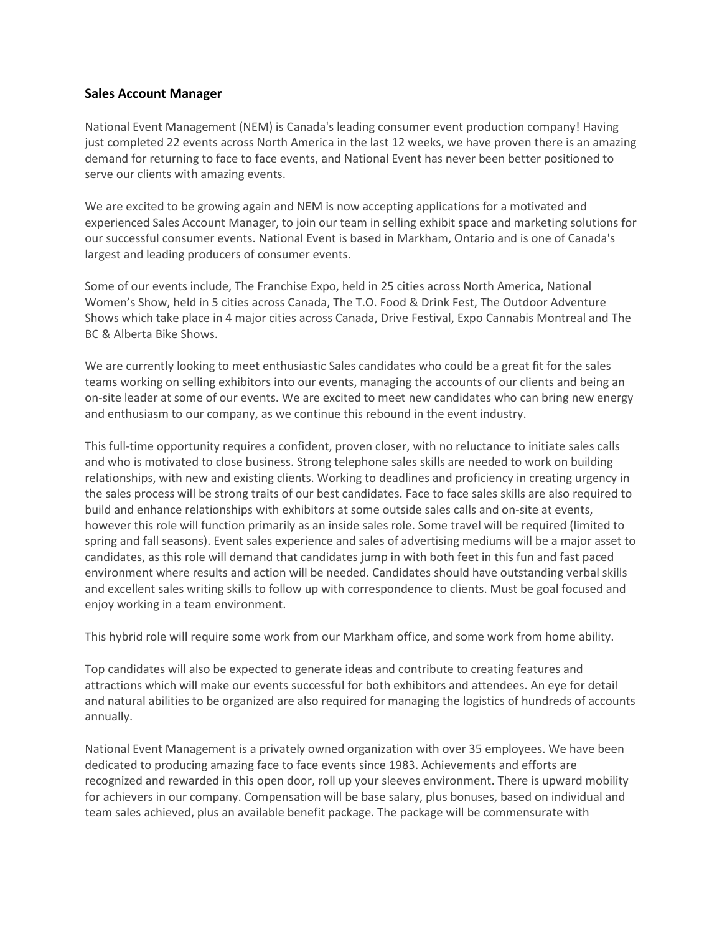## **Sales Account Manager**

National Event Management (NEM) is Canada's leading consumer event production company! Having just completed 22 events across North America in the last 12 weeks, we have proven there is an amazing demand for returning to face to face events, and National Event has never been better positioned to serve our clients with amazing events.

We are excited to be growing again and NEM is now accepting applications for a motivated and experienced Sales Account Manager, to join our team in selling exhibit space and marketing solutions for our successful consumer events. National Event is based in Markham, Ontario and is one of Canada's largest and leading producers of consumer events.

Some of our events include, The Franchise Expo, held in 25 cities across North America, National Women's Show, held in 5 cities across Canada, The T.O. Food & Drink Fest, The Outdoor Adventure Shows which take place in 4 major cities across Canada, Drive Festival, Expo Cannabis Montreal and The BC & Alberta Bike Shows.

We are currently looking to meet enthusiastic Sales candidates who could be a great fit for the sales teams working on selling exhibitors into our events, managing the accounts of our clients and being an on-site leader at some of our events. We are excited to meet new candidates who can bring new energy and enthusiasm to our company, as we continue this rebound in the event industry.

This full-time opportunity requires a confident, proven closer, with no reluctance to initiate sales calls and who is motivated to close business. Strong telephone sales skills are needed to work on building relationships, with new and existing clients. Working to deadlines and proficiency in creating urgency in the sales process will be strong traits of our best candidates. Face to face sales skills are also required to build and enhance relationships with exhibitors at some outside sales calls and on-site at events, however this role will function primarily as an inside sales role. Some travel will be required (limited to spring and fall seasons). Event sales experience and sales of advertising mediums will be a major asset to candidates, as this role will demand that candidates jump in with both feet in this fun and fast paced environment where results and action will be needed. Candidates should have outstanding verbal skills and excellent sales writing skills to follow up with correspondence to clients. Must be goal focused and enjoy working in a team environment.

This hybrid role will require some work from our Markham office, and some work from home ability.

Top candidates will also be expected to generate ideas and contribute to creating features and attractions which will make our events successful for both exhibitors and attendees. An eye for detail and natural abilities to be organized are also required for managing the logistics of hundreds of accounts annually.

National Event Management is a privately owned organization with over 35 employees. We have been dedicated to producing amazing face to face events since 1983. Achievements and efforts are recognized and rewarded in this open door, roll up your sleeves environment. There is upward mobility for achievers in our company. Compensation will be base salary, plus bonuses, based on individual and team sales achieved, plus an available benefit package. The package will be commensurate with